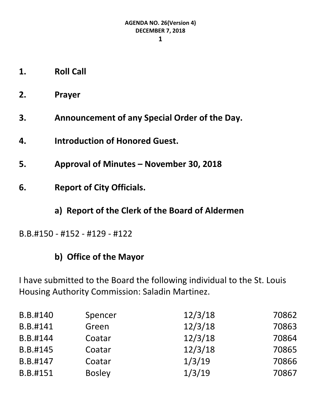- **1. Roll Call**
- **2. Prayer**
- **3. Announcement of any Special Order of the Day.**
- **4. Introduction of Honored Guest.**
- **5. Approval of Minutes – November 30, 2018**
- **6. Report of City Officials.**
	- **a) Report of the Clerk of the Board of Aldermen**
- B.B.#150 #152 #129 #122

# **b) Office of the Mayor**

I have submitted to the Board the following individual to the St. Louis Housing Authority Commission: Saladin Martinez.

| B.B.#140 | Spencer       | 12/3/18 | 70862 |
|----------|---------------|---------|-------|
| B.B.#141 | Green         | 12/3/18 | 70863 |
| B.B.#144 | Coatar        | 12/3/18 | 70864 |
| B.B.#145 | Coatar        | 12/3/18 | 70865 |
| B.B.#147 | Coatar        | 1/3/19  | 70866 |
| B.B.#151 | <b>Bosley</b> | 1/3/19  | 70867 |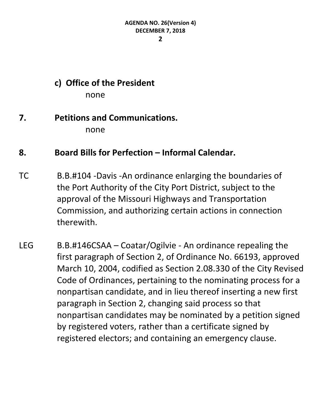**2**

# **c) Office of the President**

none

#### **7. Petitions and Communications.** none

## **8. Board Bills for Perfection – Informal Calendar.**

- TC B.B.#104 -Davis -An ordinance enlarging the boundaries of the Port Authority of the City Port District, subject to the approval of the Missouri Highways and Transportation Commission, and authorizing certain actions in connection therewith.
- LEG B.B.#146CSAA Coatar/Ogilvie An ordinance repealing the first paragraph of Section 2, of Ordinance No. 66193, approved March 10, 2004, codified as Section 2.08.330 of the City Revised Code of Ordinances, pertaining to the nominating process for a nonpartisan candidate, and in lieu thereof inserting a new first paragraph in Section 2, changing said process so that nonpartisan candidates may be nominated by a petition signed by registered voters, rather than a certificate signed by registered electors; and containing an emergency clause.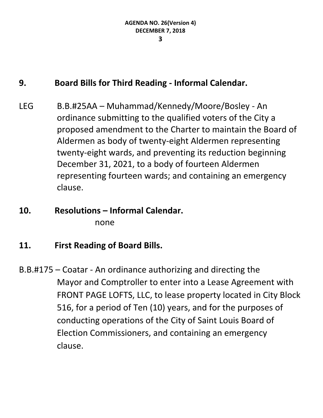## **9. Board Bills for Third Reading - Informal Calendar.**

- LEG B.B.#25AA Muhammad/Kennedy/Moore/Bosley An ordinance submitting to the qualified voters of the City a proposed amendment to the Charter to maintain the Board of Aldermen as body of twenty-eight Aldermen representing twenty-eight wards, and preventing its reduction beginning December 31, 2021, to a body of fourteen Aldermen representing fourteen wards; and containing an emergency clause.
- **10. Resolutions – Informal Calendar.** none
- **11. First Reading of Board Bills.**
- B.B.#175 Coatar An ordinance authorizing and directing the Mayor and Comptroller to enter into a Lease Agreement with FRONT PAGE LOFTS, LLC, to lease property located in City Block 516, for a period of Ten (10) years, and for the purposes of conducting operations of the City of Saint Louis Board of Election Commissioners, and containing an emergency clause.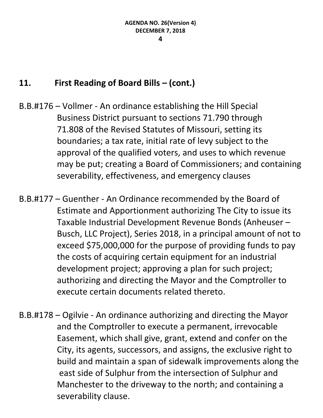## **11. First Reading of Board Bills – (cont.)**

- B.B.#176 Vollmer An ordinance establishing the Hill Special Business District pursuant to sections 71.790 through 71.808 of the Revised Statutes of Missouri, setting its boundaries; a tax rate, initial rate of levy subject to the approval of the qualified voters, and uses to which revenue may be put; creating a Board of Commissioners; and containing severability, effectiveness, and emergency clauses
- B.B.#177 Guenther An Ordinance recommended by the Board of Estimate and Apportionment authorizing The City to issue its Taxable Industrial Development Revenue Bonds (Anheuser – Busch, LLC Project), Series 2018, in a principal amount of not to exceed \$75,000,000 for the purpose of providing funds to pay the costs of acquiring certain equipment for an industrial development project; approving a plan for such project; authorizing and directing the Mayor and the Comptroller to execute certain documents related thereto.
- B.B.#178 Ogilvie An ordinance authorizing and directing the Mayor and the Comptroller to execute a permanent, irrevocable Easement, which shall give, grant, extend and confer on the City, its agents, successors, and assigns, the exclusive right to build and maintain a span of sidewalk improvements along the east side of Sulphur from the intersection of Sulphur and Manchester to the driveway to the north; and containing a severability clause.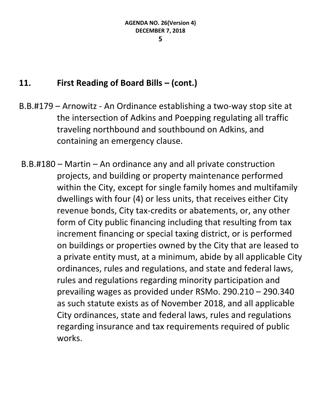#### **11. First Reading of Board Bills – (cont.)**

- B.B.#179 Arnowitz An Ordinance establishing a two-way stop site at the intersection of Adkins and Poepping regulating all traffic traveling northbound and southbound on Adkins, and containing an emergency clause.
- B.B.#180 Martin An ordinance any and all private construction projects, and building or property maintenance performed within the City, except for single family homes and multifamily dwellings with four (4) or less units, that receives either City revenue bonds, City tax-credits or abatements, or, any other form of City public financing including that resulting from tax increment financing or special taxing district, or is performed on buildings or properties owned by the City that are leased to a private entity must, at a minimum, abide by all applicable City ordinances, rules and regulations, and state and federal laws, rules and regulations regarding minority participation and prevailing wages as provided under RSMo. 290.210 – 290.340 as such statute exists as of November 2018, and all applicable City ordinances, state and federal laws, rules and regulations regarding insurance and tax requirements required of public works.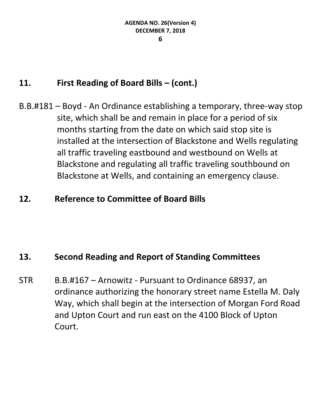## **11. First Reading of Board Bills – (cont.)**

B.B.#181 – Boyd - An Ordinance establishing a temporary, three-way stop site, which shall be and remain in place for a period of six months starting from the date on which said stop site is installed at the intersection of Blackstone and Wells regulating all traffic traveling eastbound and westbound on Wells at Blackstone and regulating all traffic traveling southbound on Blackstone at Wells, and containing an emergency clause.

## **12. Reference to Committee of Board Bills**

## **13. Second Reading and Report of Standing Committees**

STR B.B.#167 – Arnowitz - Pursuant to Ordinance 68937, an ordinance authorizing the honorary street name Estella M. Daly Way, which shall begin at the intersection of Morgan Ford Road and Upton Court and run east on the 4100 Block of Upton Court.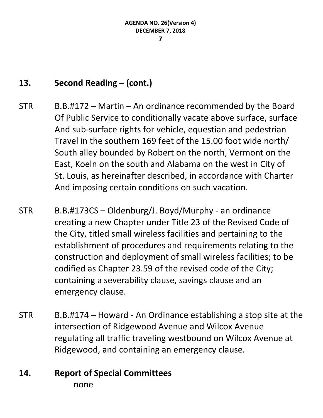# **13. Second Reading – (cont.)**

- STR B.B.#172 Martin An ordinance recommended by the Board Of Public Service to conditionally vacate above surface, surface And sub-surface rights for vehicle, equestian and pedestrian Travel in the southern 169 feet of the 15.00 foot wide north/ South alley bounded by Robert on the north, Vermont on the East, Koeln on the south and Alabama on the west in City of St. Louis, as hereinafter described, in accordance with Charter And imposing certain conditions on such vacation.
- STR B.B.#173CS Oldenburg/J. Boyd/Murphy an ordinance creating a new Chapter under Title 23 of the Revised Code of the City, titled small wireless facilities and pertaining to the establishment of procedures and requirements relating to the construction and deployment of small wireless facilities; to be codified as Chapter 23.59 of the revised code of the City; containing a severability clause, savings clause and an emergency clause.
- STR B.B.#174 Howard An Ordinance establishing a stop site at the intersection of Ridgewood Avenue and Wilcox Avenue regulating all traffic traveling westbound on Wilcox Avenue at Ridgewood, and containing an emergency clause.

#### **14. Report of Special Committees** none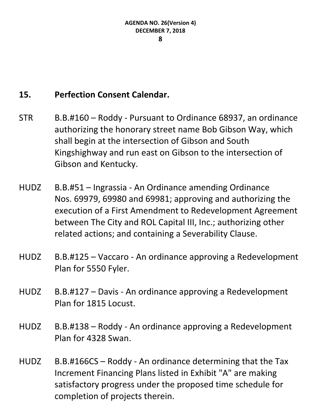# **15. Perfection Consent Calendar.**

- STR B.B.#160 Roddy Pursuant to Ordinance 68937, an ordinance authorizing the honorary street name Bob Gibson Way, which shall begin at the intersection of Gibson and South Kingshighway and run east on Gibson to the intersection of Gibson and Kentucky.
- HUDZ B.B.#51 Ingrassia An Ordinance amending Ordinance Nos. 69979, 69980 and 69981; approving and authorizing the execution of a First Amendment to Redevelopment Agreement between The City and ROL Capital III, Inc.; authorizing other related actions; and containing a Severability Clause.
- HUDZ B.B.#125 Vaccaro An ordinance approving a Redevelopment Plan for 5550 Fyler.
- HUDZ B.B.#127 Davis An ordinance approving a Redevelopment Plan for 1815 Locust.
- HUDZ B.B.#138 Roddy An ordinance approving a Redevelopment Plan for 4328 Swan.
- HUDZ B.B.#166CS Roddy An ordinance determining that the Tax Increment Financing Plans listed in Exhibit "A" are making satisfactory progress under the proposed time schedule for completion of projects therein.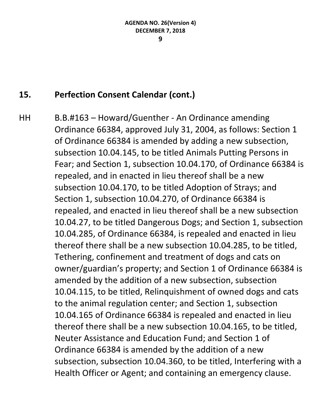#### **9**

# **15. Perfection Consent Calendar (cont.)**

HH B.B.#163 – Howard/Guenther - An Ordinance amending Ordinance 66384, approved July 31, 2004, as follows: Section 1 of Ordinance 66384 is amended by adding a new subsection, subsection 10.04.145, to be titled Animals Putting Persons in Fear; and Section 1, subsection 10.04.170, of Ordinance 66384 is repealed, and in enacted in lieu thereof shall be a new subsection 10.04.170, to be titled Adoption of Strays; and Section 1, subsection 10.04.270, of Ordinance 66384 is repealed, and enacted in lieu thereof shall be a new subsection 10.04.27, to be titled Dangerous Dogs; and Section 1, subsection 10.04.285, of Ordinance 66384, is repealed and enacted in lieu thereof there shall be a new subsection 10.04.285, to be titled, Tethering, confinement and treatment of dogs and cats on owner/guardian's property; and Section 1 of Ordinance 66384 is amended by the addition of a new subsection, subsection 10.04.115, to be titled, Relinquishment of owned dogs and cats to the animal regulation center; and Section 1, subsection 10.04.165 of Ordinance 66384 is repealed and enacted in lieu thereof there shall be a new subsection 10.04.165, to be titled, Neuter Assistance and Education Fund; and Section 1 of Ordinance 66384 is amended by the addition of a new subsection, subsection 10.04.360, to be titled, Interfering with a Health Officer or Agent; and containing an emergency clause.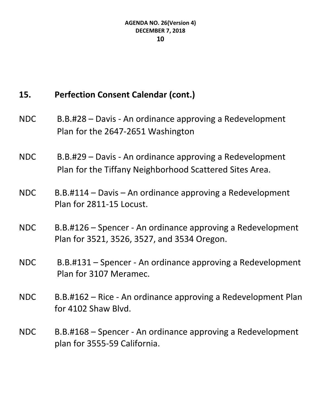# **15. Perfection Consent Calendar (cont.)**

- NDC B.B.#28 Davis An ordinance approving a Redevelopment Plan for the 2647-2651 Washington
- NDC B.B.#29 Davis An ordinance approving a Redevelopment Plan for the Tiffany Neighborhood Scattered Sites Area.
- NDC B.B.#114 Davis An ordinance approving a Redevelopment Plan for 2811-15 Locust.
- NDC B.B.#126 Spencer An ordinance approving a Redevelopment Plan for 3521, 3526, 3527, and 3534 Oregon.
- NDC B.B.#131 Spencer An ordinance approving a Redevelopment Plan for 3107 Meramec.
- NDC B.B.#162 Rice An ordinance approving a Redevelopment Plan for 4102 Shaw Blvd.
- NDC B.B.#168 Spencer An ordinance approving a Redevelopment plan for 3555-59 California.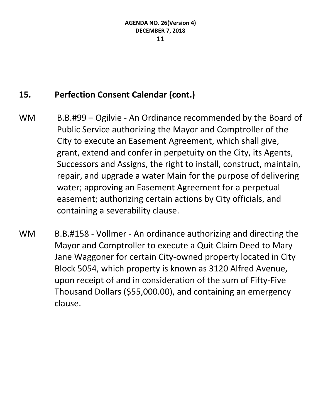# **15. Perfection Consent Calendar (cont.)**

- WM B.B.#99 Ogilvie An Ordinance recommended by the Board of Public Service authorizing the Mayor and Comptroller of the City to execute an Easement Agreement, which shall give, grant, extend and confer in perpetuity on the City, its Agents, Successors and Assigns, the right to install, construct, maintain, repair, and upgrade a water Main for the purpose of delivering water; approving an Easement Agreement for a perpetual easement; authorizing certain actions by City officials, and containing a severability clause.
- WM B.B.#158 Vollmer An ordinance authorizing and directing the Mayor and Comptroller to execute a Quit Claim Deed to Mary Jane Waggoner for certain City-owned property located in City Block 5054, which property is known as 3120 Alfred Avenue, upon receipt of and in consideration of the sum of Fifty-Five Thousand Dollars (\$55,000.00), and containing an emergency clause.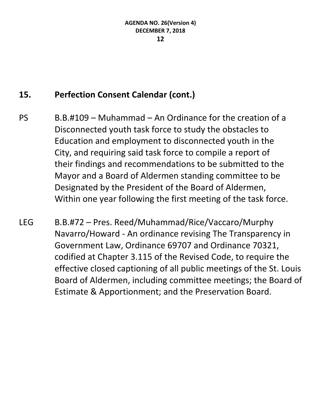# **15. Perfection Consent Calendar (cont.)**

- PS B.B.#109 Muhammad An Ordinance for the creation of a Disconnected youth task force to study the obstacles to Education and employment to disconnected youth in the City, and requiring said task force to compile a report of their findings and recommendations to be submitted to the Mayor and a Board of Aldermen standing committee to be Designated by the President of the Board of Aldermen, Within one year following the first meeting of the task force.
- LEG B.B.#72 Pres. Reed/Muhammad/Rice/Vaccaro/Murphy Navarro/Howard - An ordinance revising The Transparency in Government Law, Ordinance 69707 and Ordinance 70321, codified at Chapter 3.115 of the Revised Code, to require the effective closed captioning of all public meetings of the St. Louis Board of Aldermen, including committee meetings; the Board of Estimate & Apportionment; and the Preservation Board.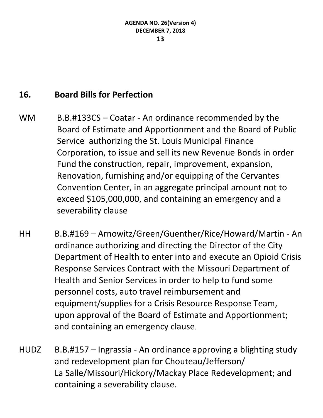# **16. Board Bills for Perfection**

- WM B.B.#133CS Coatar An ordinance recommended by the Board of Estimate and Apportionment and the Board of Public Service authorizing the St. Louis Municipal Finance Corporation, to issue and sell its new Revenue Bonds in order Fund the construction, repair, improvement, expansion, Renovation, furnishing and/or equipping of the Cervantes Convention Center, in an aggregate principal amount not to exceed \$105,000,000, and containing an emergency and a severability clause
- HH B.B.#169 Arnowitz/Green/Guenther/Rice/Howard/Martin An ordinance authorizing and directing the Director of the City Department of Health to enter into and execute an Opioid Crisis Response Services Contract with the Missouri Department of Health and Senior Services in order to help to fund some personnel costs, auto travel reimbursement and equipment/supplies for a Crisis Resource Response Team, upon approval of the Board of Estimate and Apportionment; and containing an emergency clause.
- HUDZ B.B.#157 Ingrassia An ordinance approving a blighting study and redevelopment plan for Chouteau/Jefferson/ La Salle/Missouri/Hickory/Mackay Place Redevelopment; and containing a severability clause.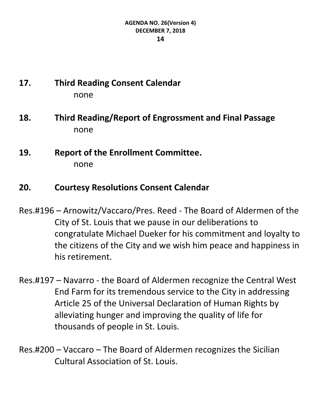# **17. Third Reading Consent Calendar** none

- **18. Third Reading/Report of Engrossment and Final Passage** none
- **19. Report of the Enrollment Committee.** none

# **20. Courtesy Resolutions Consent Calendar**

- Res.#196 Arnowitz/Vaccaro/Pres. Reed The Board of Aldermen of the City of St. Louis that we pause in our deliberations to congratulate Michael Dueker for his commitment and loyalty to the citizens of the City and we wish him peace and happiness in his retirement.
- Res.#197 Navarro the Board of Aldermen recognize the Central West End Farm for its tremendous service to the City in addressing Article 25 of the Universal Declaration of Human Rights by alleviating hunger and improving the quality of life for thousands of people in St. Louis.
- Res.#200 Vaccaro The Board of Aldermen recognizes the Sicilian Cultural Association of St. Louis.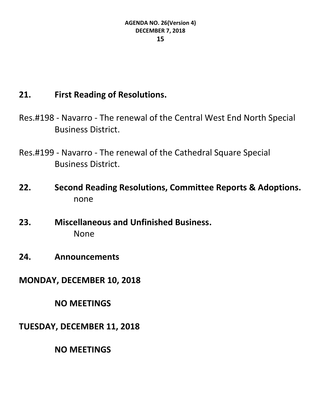# **21. First Reading of Resolutions.**

Res.#198 - Navarro - The renewal of the Central West End North Special Business District.

Res.#199 - Navarro - The renewal of the Cathedral Square Special Business District.

- **22. Second Reading Resolutions, Committee Reports & Adoptions.** none
- **23. Miscellaneous and Unfinished Business.** None
- **24. Announcements**

**MONDAY, DECEMBER 10, 2018**

**NO MEETINGS**

**TUESDAY, DECEMBER 11, 2018**

**NO MEETINGS**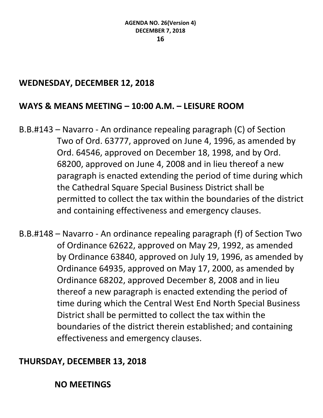#### **WEDNESDAY, DECEMBER 12, 2018**

#### **WAYS & MEANS MEETING – 10:00 A.M. – LEISURE ROOM**

B.B.#143 – Navarro - An ordinance repealing paragraph (C) of Section Two of Ord. 63777, approved on June 4, 1996, as amended by Ord. 64546, approved on December 18, 1998, and by Ord. 68200, approved on June 4, 2008 and in lieu thereof a new paragraph is enacted extending the period of time during which the Cathedral Square Special Business District shall be permitted to collect the tax within the boundaries of the district and containing effectiveness and emergency clauses.

B.B.#148 – Navarro - An ordinance repealing paragraph (f) of Section Two of Ordinance 62622, approved on May 29, 1992, as amended by Ordinance 63840, approved on July 19, 1996, as amended by Ordinance 64935, approved on May 17, 2000, as amended by Ordinance 68202, approved December 8, 2008 and in lieu thereof a new paragraph is enacted extending the period of time during which the Central West End North Special Business District shall be permitted to collect the tax within the boundaries of the district therein established; and containing effectiveness and emergency clauses.

## **THURSDAY, DECEMBER 13, 2018**

#### **NO MEETINGS**